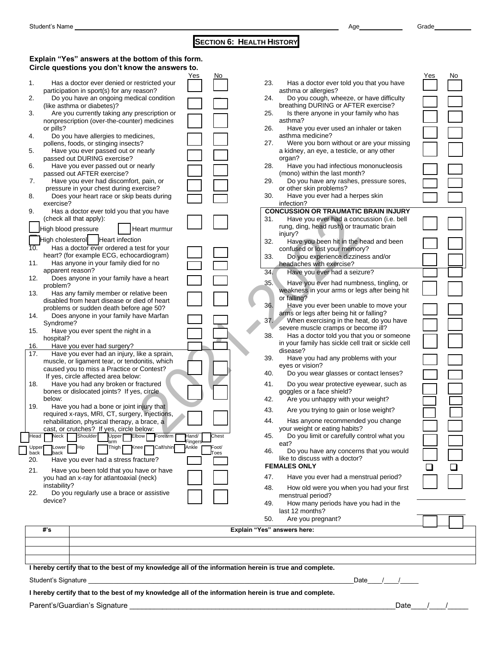## **SECTION 6: HEALTH HISTORY**

|              | Explain "Yes" answers at the bottom of this form.                                     |                  |       |     |                                                                                      |     |     |
|--------------|---------------------------------------------------------------------------------------|------------------|-------|-----|--------------------------------------------------------------------------------------|-----|-----|
|              | Circle questions you don't know the answers to.                                       |                  |       |     |                                                                                      |     |     |
|              |                                                                                       | Yes              | No.   |     |                                                                                      | Yes | No. |
| 1.           | Has a doctor ever denied or restricted your                                           |                  |       | 23. | Has a doctor ever told you that you have                                             |     |     |
|              | participation in sport(s) for any reason?<br>Do you have an ongoing medical condition |                  |       | 24. | asthma or allergies?<br>Do you cough, wheeze, or have difficulty                     |     |     |
| 2.           | (like asthma or diabetes)?                                                            |                  |       |     | breathing DURING or AFTER exercise?                                                  |     |     |
| 3.           | Are you currently taking any prescription or                                          |                  |       | 25. | Is there anyone in your family who has                                               |     |     |
|              | nonprescription (over-the-counter) medicines                                          |                  |       |     | asthma?                                                                              |     |     |
|              | or pills?                                                                             |                  |       | 26. | Have you ever used an inhaler or taken                                               |     |     |
| 4.           | Do you have allergies to medicines,                                                   |                  |       |     | asthma medicine?                                                                     |     |     |
|              | pollens, foods, or stinging insects?                                                  |                  |       | 27. | Were you born without or are your missing                                            |     |     |
| 5.           | Have you ever passed out or nearly                                                    |                  |       |     | a kidney, an eye, a testicle, or any other                                           |     |     |
| 6.           | passed out DURING exercise?<br>Have you ever passed out or nearly                     |                  |       | 28. | organ?<br>Have you had infectious mononucleosis                                      |     |     |
|              | passed out AFTER exercise?                                                            |                  |       |     | (mono) within the last month?                                                        |     |     |
| 7.           | Have you ever had discomfort, pain, or                                                |                  |       | 29. | Do you have any rashes, pressure sores,                                              |     |     |
|              | pressure in your chest during exercise?                                               |                  |       |     | or other skin problems?                                                              |     |     |
| 8.           | Does your heart race or skip beats during                                             |                  |       | 30. | Have you ever had a herpes skin                                                      |     |     |
|              | exercise?                                                                             |                  |       |     | infection?                                                                           |     |     |
| 9.           | Has a doctor ever told you that you have                                              |                  |       |     | <b>CONCUSSION OR TRAUMATIC BRAIN INJURY</b>                                          |     |     |
|              | (check all that apply):                                                               |                  |       | 31. | Have you ever had a concussion (i.e. bell                                            |     |     |
|              | High blood pressure<br>Heart murmur                                                   |                  |       |     | rung, ding, head rush) or traumatic brain<br>injury?                                 |     |     |
|              | High cholesterol   Heart infection                                                    |                  |       | 32. | Have you been hit in the head and been                                               |     |     |
| 10.          | Has a doctor ever ordered a test for your                                             |                  |       |     | confused or lost your memory?                                                        |     |     |
|              | heart? (for example ECG, echocardiogram)                                              |                  |       | 33. | Do you experience dizziness and/or                                                   |     |     |
| 11.          | Has anyone in your family died for no                                                 |                  |       |     | headaches with exercise?                                                             |     |     |
|              | apparent reason?                                                                      |                  |       | 34. | Have you ever had a seizure?                                                         |     |     |
| 12.          | Does anyone in your family have a heart<br>problem?                                   |                  |       | 35. | Have you ever had numbness, tingling, or                                             |     |     |
| 13.          | Has any family member or relative been                                                |                  |       |     | weakness in your arms or legs after being hit                                        |     |     |
|              | disabled from heart disease or died of heart                                          |                  |       |     | or falling?                                                                          |     |     |
|              | problems or sudden death before age 50?                                               |                  |       | 36. | Have you ever been unable to move your                                               |     |     |
| 14.          | Does anyone in your family have Marfan                                                |                  |       | 37. | arms or legs after being hit or falling?<br>When exercising in the heat, do you have |     |     |
|              | Syndrome?                                                                             |                  |       |     | severe muscle cramps or become ill?                                                  |     |     |
| 15.          | Have you ever spent the night in a<br>hospital?                                       |                  |       | 38. | Has a doctor told you that you or someone                                            |     |     |
| 16.          | Have you ever had surgery?                                                            |                  |       |     | in your family has sickle cell trait or sickle cell                                  |     |     |
| 17.          | Have you ever had an injury, like a sprain,                                           |                  |       |     | disease?                                                                             |     |     |
|              | muscle, or ligament tear, or tendonitis, which                                        |                  |       | 39. | Have you had any problems with your                                                  |     |     |
|              | caused you to miss a Practice or Contest?                                             |                  |       | 40. | eyes or vision?<br>Do you wear glasses or contact lenses?                            |     |     |
|              | If yes, circle affected area below:                                                   |                  |       |     |                                                                                      |     |     |
| 18.          | Have you had any broken or fractured                                                  |                  |       | 41. | Do you wear protective eyewear, such as                                              |     |     |
|              | bones or dislocated joints? If yes, circle<br>below:                                  |                  |       | 42. | goggles or a face shield?<br>Are you unhappy with your weight?                       |     |     |
| 19.          | Have you had a bone or joint injury that                                              |                  |       |     |                                                                                      |     |     |
|              | required x-rays, MRI, CT, surgery, injections,                                        |                  |       | 43. | Are you trying to gain or lose weight?                                               |     |     |
|              | rehabilitation, physical therapy, a brace, a                                          |                  |       | 44. | Has anyone recommended you change                                                    |     |     |
|              | cast, or crutches? If yes, circle below:                                              |                  |       |     | your weight or eating habits?                                                        |     |     |
| Head         | Veck<br>Shoulder<br>Upper<br>Elbow<br>Forearm<br>arm                                  | Hand/<br>Fingers | Chest | 45. | Do you limit or carefully control what you                                           |     |     |
| <b>Upper</b> | Lower<br><b>Hip</b><br>Thigh<br>Calf/shin<br>Knee                                     | Ankle            | Foot/ | 46. | eat?                                                                                 |     |     |
| back<br>20.  | hack<br>Have you ever had a stress fracture?                                          |                  | oes   |     | Do you have any concerns that you would<br>like to discuss with a doctor?            |     |     |
|              |                                                                                       |                  |       |     | <b>FEMALES ONLY</b>                                                                  |     |     |
| 21.          | Have you been told that you have or have                                              |                  |       |     |                                                                                      |     |     |
|              | you had an x-ray for atlantoaxial (neck)<br>instability?                              |                  |       | 47. | Have you ever had a menstrual period?                                                |     |     |
| 22.          | Do you regularly use a brace or assistive                                             |                  |       | 48. | How old were you when you had your first                                             |     |     |
|              | device?                                                                               |                  |       |     | menstrual period?                                                                    |     |     |
|              |                                                                                       |                  |       | 49. | How many periods have you had in the<br>last 12 months?                              |     |     |
|              |                                                                                       |                  |       | 50. | Are you pregnant?                                                                    |     |     |
|              |                                                                                       |                  |       |     |                                                                                      |     |     |

| #'s | Explain "Yes" answers here: |  |  |  |  |  |
|-----|-----------------------------|--|--|--|--|--|
|     |                             |  |  |  |  |  |
|     |                             |  |  |  |  |  |
|     |                             |  |  |  |  |  |

**I hereby certify that to the best of my knowledge all of the information herein is true and complete.**

Student's Signature \_\_\_\_\_\_\_\_\_\_\_\_\_\_\_\_\_\_\_\_\_\_\_\_\_\_\_\_\_\_\_\_\_\_\_\_\_\_\_\_\_\_\_\_\_\_\_\_\_\_\_\_\_\_\_\_\_\_\_\_\_\_\_\_\_\_\_\_\_\_\_\_\_Date\_\_\_\_/\_\_\_\_/\_\_\_\_\_

**I hereby certify that to the best of my knowledge all of the information herein is true and complete.**

Parent's/Guardian's Signature

|  | Date |  |  |  |
|--|------|--|--|--|
|--|------|--|--|--|